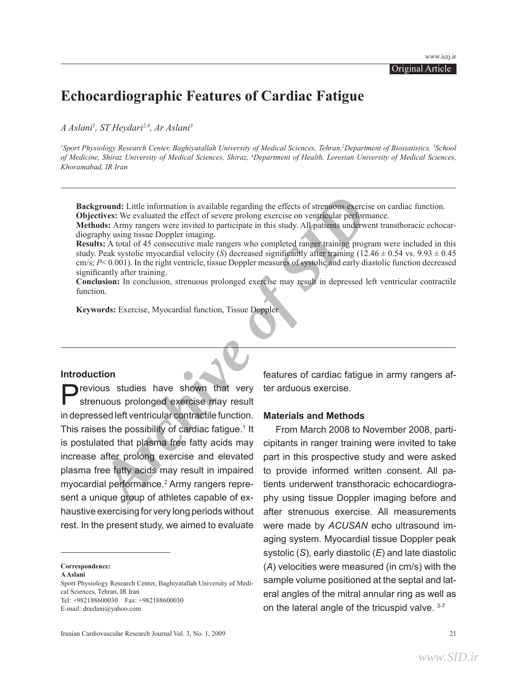# **Echocardiographic Features of Cardiac Fatigue**

*A Aslani1 , ST Heydari2,4, Ar Aslani3*

<sup>1</sup>Sport Physiology Research Center, Baghiyatallah University of Medical Sciences, Tehran,<sup>2</sup>Department of Biostatistics, <sup>3</sup>School *of Medicine, Shiraz University of Medical Sciences, Shiraz, 4 Department of Health, Lorestan University of Medical Sciences, Khoramabad, IR Iran*

**Background:** Little information is available regarding the effects of strenuous exercise on cardiac function. **Objectives:** We evaluated the effect of severe prolong exercise on ventricular performance.

**Methods:** Army rangers were invited to participate in this study. All patients underwent transthoracic echocardiography using tissue Doppler imaging.

**Results:** A total of 45 consecutive male rangers who completed ranger training program were included in this study. Peak systolic myocardial velocity (*S*) decreased significantly after training  $(12.46 \pm 0.54 \text{ vs. } 9.93 \pm 0.45 \text{ s})$ cm/s; *P*< 0.001). In the right ventricle, tissue Doppler measures of systolic and early diastolic function decreased significantly after training.

**Conclusion:** In conclusion, strenuous prolonged exercise may result in depressed left ventricular contractile function.

**Keywords:** Exercise, Myocardial function, Tissue Doppler

### **Introduction**

**Exercise SET ARCHIVE ANDELES:** We collated the effect of strengthe information is available regarding the effects of strengtous exercise on<br> **Archives:** We collated the effect of severe prolong exercise on ventifically re Previous studies have shown that very strenuous prolonged exercise may result in depressed left ventricular contractile function. This raises the possibility of cardiac fatigue.<sup>1</sup> It is postulated that plasma free fatty acids may increase after prolong exercise and elevated plasma free fatty acids may result in impaired myocardial performance.<sup>2</sup> Army rangers represent a unique group of athletes capable of exhaustive exercising for very long periods without rest. In the present study, we aimed to evaluate

**Correspondence:** 

**A Aslani** Sport Physiology Research Center, Baghiyatallah University of Medical Sciences, Tehran, IR Iran Tel: +982188600030 Fax: +982188600030 E-mail: draslani@yahoo.com

features of cardiac fatigue in army rangers after arduous exercise.

# **Materials and Methods**

From March 2008 to November 2008, participitants in ranger training were invited to take part in this prospective study and were asked to provide informed written consent. All patients underwent transthoracic echocardiography using tissue Doppler imaging before and after strenuous exercise. All measurements were made by *ACUSAN* echo ultrasound imaging system. Myocardial tissue Doppler peak systolic (*S*), early diastolic (*E*) and late diastolic (*A*) velocities were measured (in cm/s) with the sample volume positioned at the septal and lateral angles of the mitral annular ring as well as on the lateral angle of the tricuspid valve. 3-7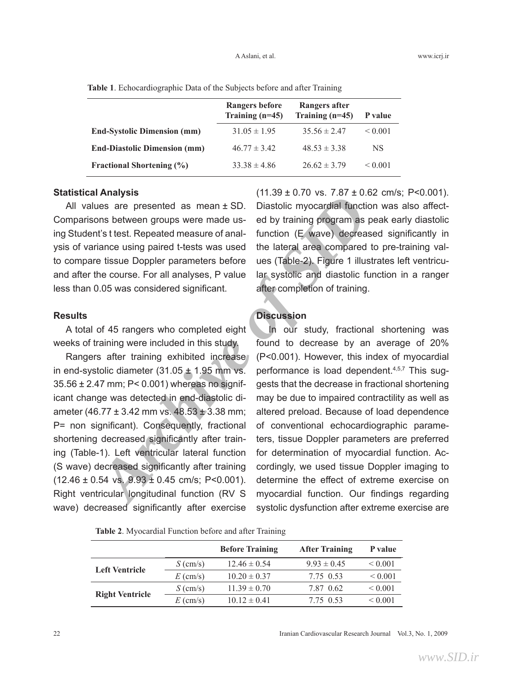|                                     | <b>Rangers before</b><br>Training $(n=45)$ | Rangers after<br>Training $(n=45)$ | P value      |
|-------------------------------------|--------------------------------------------|------------------------------------|--------------|
| <b>End-Systolic Dimension (mm)</b>  | $31.05 \pm 1.95$                           | $35.56 \pm 2.47$                   | ${}_{0.001}$ |
| <b>End-Diastolic Dimension (mm)</b> | $46.77 \pm 3.42$                           | $48.53 \pm 3.38$                   | NS           |
| <b>Fractional Shortening (%)</b>    | $33.38 \pm 4.86$                           | $26.62 \pm 3.79$                   | ${}_{0.001}$ |

**Table 1**. Echocardiographic Data of the Subjects before and after Training

### **Statistical Analysis**

All values are presented as mean ± SD. Comparisons between groups were made using Student's t test. Repeated measure of analysis of variance using paired t-tests was used to compare tissue Doppler parameters before and after the course. For all analyses, P value less than 0.05 was considered significant.

### **Results**

A total of 45 rangers who completed eight weeks of training were included in this study.

**Archives are presented as mean ± SD.** Diastolic myocardial function was between groups were made us-<br>
are are presented measure of anal-function (E wave) decreased<br>
distitest. Repeated measure of anal-function (E wave) de Rangers after training exhibited increase in end-systolic diameter (31.05  $\pm$  1.95 mm vs. 35.56 ± 2.47 mm; P< 0.001) whereas no significant change was detected in end-diastolic diameter (46.77  $\pm$  3.42 mm vs. 48.53  $\pm$  3.38 mm; P= non significant). Consequently, fractional shortening decreased significantly after training (Table-1). Left ventricular lateral function (S wave) decreased significantly after training  $(12.46 \pm 0.54 \text{ vs. } 9.93 \pm 0.45 \text{ cm/s}; \text{ P} < 0.001).$ Right ventricular longitudinal function (RV S wave) decreased significantly after exercise

 $(11.39 \pm 0.70 \text{ vs. } 7.87 \pm 0.62 \text{ cm/s}; \text{ P}<0.001).$ Diastolic myocardial function was also affected by training program as peak early diastolic function (E wave) decreased significantly in the lateral area compared to pre-training values (Table-2). Figure 1 illustrates left ventricular systolic and diastolic function in a ranger after completion of training.

## **Discussion**

In our study, fractional shortening was found to decrease by an average of 20% (P<0.001). However, this index of myocardial performance is load dependent.<sup>4,5,7</sup> This suggests that the decrease in fractional shortening may be due to impaired contractility as well as altered preload. Because of load dependence of conventional echocardiographic parameters, tissue Doppler parameters are preferred for determination of myocardial function. Accordingly, we used tissue Doppler imaging to determine the effect of extreme exercise on myocardial function. Our findings regarding systolic dysfunction after extreme exercise are

**Table 2**. Myocardial Function before and after Training

|                        |                                | <b>Before Training</b> | <b>After Training</b> | P value      |
|------------------------|--------------------------------|------------------------|-----------------------|--------------|
| <b>Left Ventricle</b>  | $S \left( \text{cm/s} \right)$ | $12.46 \pm 0.54$       | $9.93 \pm 0.45$       | ${}_{0.001}$ |
|                        | $E \text{ (cm/s)}$             | $10.20 \pm 0.37$       | 7.75 0.53             | ${}< 0.001$  |
| <b>Right Ventricle</b> | $S$ (cm/s)                     | $11.39 \pm 0.70$       | 7.87 0.62             | ${}_{0.001}$ |
|                        | $E \text{ (cm/s)}$             | $10.12 \pm 0.41$       | 7.75 0.53             | ${}_{0.001}$ |